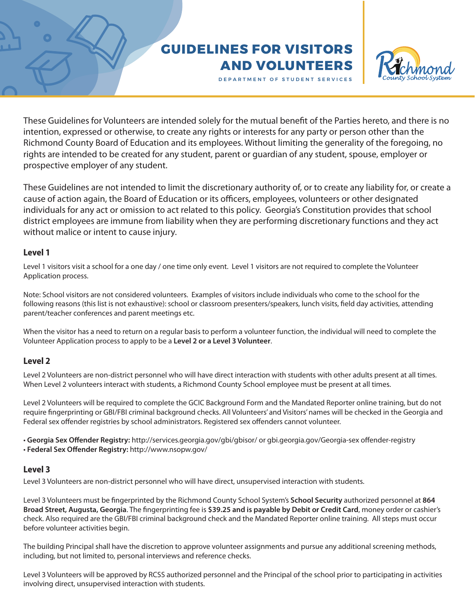# **GUIDELINES FOR VISITORS AND VOLUNTEERS**



DEPARTMENT OF STUDENT SERVICES

These Guidelines for Volunteers are intended solely for the mutual benefit of the Parties hereto, and there is no intention, expressed or otherwise, to create any rights or interests for any party or person other than the Richmond County Board of Education and its employees. Without limiting the generality of the foregoing, no rights are intended to be created for any student, parent or guardian of any student, spouse, employer or prospective employer of any student.

These Guidelines are not intended to limit the discretionary authority of, or to create any liability for, or create a cause of action again, the Board of Education or its officers, employees, volunteers or other designated individuals for any act or omission to act related to this policy. Georgia's Constitution provides that school district employees are immune from liability when they are performing discretionary functions and they act without malice or intent to cause injury.

## **Level 1**

Level 1 visitors visit a school for a one day / one time only event. Level 1 visitors are not required to complete the Volunteer Application process.

Note: School visitors are not considered volunteers. Examples of visitors include individuals who come to the school for the following reasons (this list is not exhaustive): school or classroom presenters/speakers, lunch visits, field day activities, attending parent/teacher conferences and parent meetings etc.

When the visitor has a need to return on a regular basis to perform a volunteer function, the individual will need to complete the Volunteer Application process to apply to be a **Level 2 or a Level 3 Volunteer**.

# **Level 2**

Level 2 Volunteers are non-district personnel who will have direct interaction with students with other adults present at all times. When Level 2 volunteers interact with students, a Richmond County School employee must be present at all times.

Level 2 Volunteers will be required to complete the GCIC Background Form and the Mandated Reporter online training, but do not require fingerprinting or GBI/FBI criminal background checks. All Volunteers' and Visitors' names will be checked in the Georgia and Federal sex offender registries by school administrators. Registered sex offenders cannot volunteer.

- Georgia Sex Offender Registry: http://services.georgia.gov/gbi/gbisor/ or gbi.georgia.gov/Georgia-sex offender-registry
- Federal Sex Offender Registry: http://www.nsopw.gov/

## **Level 3**

Level 3 Volunteers are non-district personnel who will have direct, unsupervised interaction with students.

Level 3 Volunteers must be fingerprinted by the Richmond County School System's **School Security** authorized personnel at **864 Broad Street, Augusta, Georgia**. The fingerprinting fee is **\$39.25 and is payable by Debit or Credit Card**, money order or cashier's check. Also required are the GBI/FBI criminal background check and the Mandated Reporter online training. All steps must occur before volunteer activities begin.

The building Principal shall have the discretion to approve volunteer assignments and pursue any additional screening methods, including, but not limited to, personal interviews and reference checks.

Level 3 Volunteers will be approved by RCSS authorized personnel and the Principal of the school prior to participating in activities involving direct, unsupervised interaction with students.